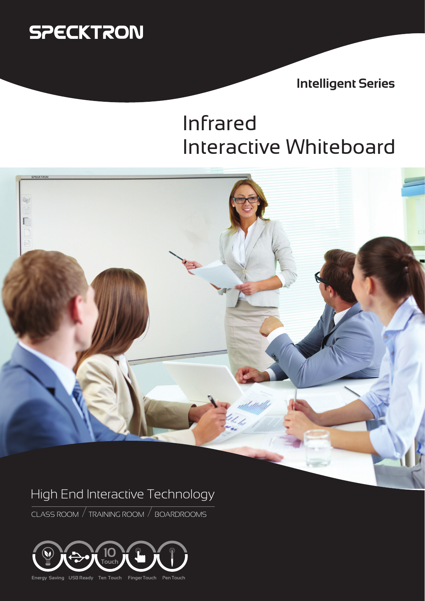

**Intelligent Series**

## Infrared Interactive Whiteboard



## High End Interactive Technology

CLASS ROOM / TRAINING ROOM / BOARDROOMS



**Energy Saving USB Ready Ten Touch Finger Touch Pen Touch**